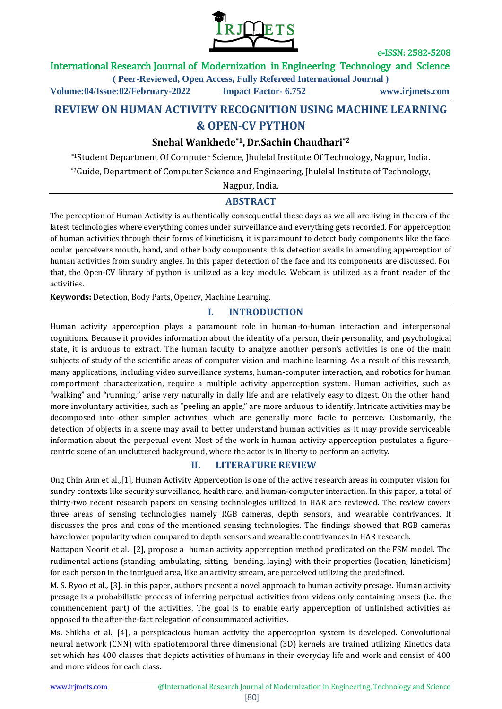

## International Research Journal of Modernization in Engineering Technology and Science

**( Peer-Reviewed, Open Access, Fully Refereed International Journal )**

**Volume:04/Issue:02/February-2022 Impact Factor- 6.752 www.irjmets.com**

# **REVIEW ON HUMAN ACTIVITY RECOGNITION USING MACHINE LEARNING & OPEN-CV PYTHON**

# **Snehal Wankhede\*1, Dr.Sachin Chaudhari\*2**

\*1Student Department Of Computer Science, Jhulelal Institute Of Technology, Nagpur, India. \*2Guide, Department of Computer Science and Engineering, Jhulelal Institute of Technology,

Nagpur, India.

## **ABSTRACT**

The perception of Human Activity is authentically consequential these days as we all are living in the era of the latest technologies where everything comes under surveillance and everything gets recorded. For apperception of human activities through their forms of kineticism, it is paramount to detect body components like the face, ocular perceivers mouth, hand, and other body components, this detection avails in amending apperception of human activities from sundry angles. In this paper detection of the face and its components are discussed. For that, the Open-CV library of python is utilized as a key module. Webcam is utilized as a front reader of the activities.

**Keywords:** Detection, Body Parts, Opencv, Machine Learning.

# **I. INTRODUCTION**

Human activity apperception plays a paramount role in human-to-human interaction and interpersonal cognitions. Because it provides information about the identity of a person, their personality, and psychological state, it is arduous to extract. The human faculty to analyze another person's activities is one of the main subjects of study of the scientific areas of computer vision and machine learning. As a result of this research, many applications, including video surveillance systems, human-computer interaction, and robotics for human comportment characterization, require a multiple activity apperception system. Human activities, such as "walking" and "running," arise very naturally in daily life and are relatively easy to digest. On the other hand, more involuntary activities, such as "peeling an apple," are more arduous to identify. Intricate activities may be decomposed into other simpler activities, which are generally more facile to perceive. Customarily, the detection of objects in a scene may avail to better understand human activities as it may provide serviceable information about the perpetual event Most of the work in human activity apperception postulates a figurecentric scene of an uncluttered background, where the actor is in liberty to perform an activity.

## **II. LITERATURE REVIEW**

Ong Chin Ann et al.,[1], Human Activity Apperception is one of the active research areas in computer vision for sundry contexts like security surveillance, healthcare, and human-computer interaction. In this paper, a total of thirty-two recent research papers on sensing technologies utilized in HAR are reviewed. The review covers three areas of sensing technologies namely RGB cameras, depth sensors, and wearable contrivances. It discusses the pros and cons of the mentioned sensing technologies. The findings showed that RGB cameras have lower popularity when compared to depth sensors and wearable contrivances in HAR research.

Nattapon Noorit et al., [2], propose a human activity apperception method predicated on the FSM model. The rudimental actions (standing, ambulating, sitting, bending, laying) with their properties (location, kineticism) for each person in the intrigued area, like an activity stream, are perceived utilizing the predefined.

M. S. Ryoo et al., [3], in this paper, authors present a novel approach to human activity presage. Human activity presage is a probabilistic process of inferring perpetual activities from videos only containing onsets (i.e. the commencement part) of the activities. The goal is to enable early apperception of unfinished activities as opposed to the after-the-fact relegation of consummated activities.

Ms. Shikha et al., [4], a perspicacious human activity the apperception system is developed. Convolutional neural network (CNN) with spatiotemporal three dimensional (3D) kernels are trained utilizing Kinetics data set which has 400 classes that depicts activities of humans in their everyday life and work and consist of 400 and more videos for each class.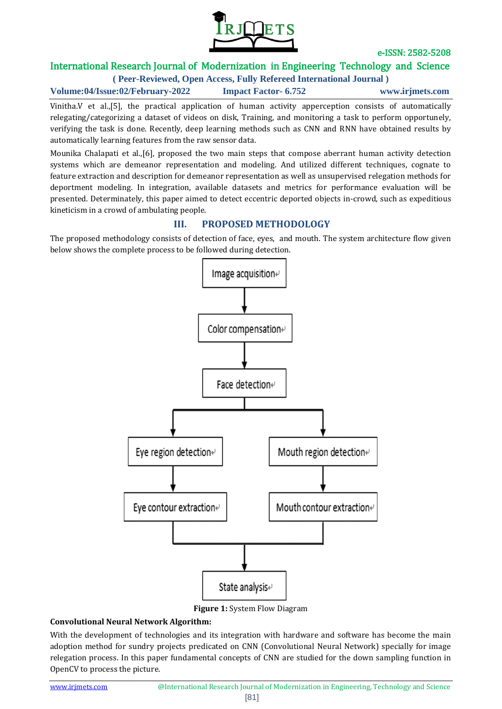

# International Research Journal of Modernization in Engineering Technology and Science

**( Peer-Reviewed, Open Access, Fully Refereed International Journal )**

**Volume:04/Issue:02/February-2022 Impact Factor- 6.752 www.irjmets.com**

Vinitha.V et al.,[5], the practical application of human activity apperception consists of automatically relegating/categorizing a dataset of videos on disk, Training, and monitoring a task to perform opportunely, verifying the task is done. Recently, deep learning methods such as CNN and RNN have obtained results by automatically learning features from the raw sensor data.

Mounika Chalapati et al.,[6], proposed the two main steps that compose aberrant human activity detection systems which are demeanor representation and modeling. And utilized different techniques, cognate to feature extraction and description for demeanor representation as well as unsupervised relegation methods for deportment modeling. In integration, available datasets and metrics for performance evaluation will be presented. Determinately, this paper aimed to detect eccentric deported objects in-crowd, such as expeditious kineticism in a crowd of ambulating people.

# **III. PROPOSED METHODOLOGY**

The proposed methodology consists of detection of face, eyes, and mouth. The system architecture flow given below shows the complete process to be followed during detection.



**Figure 1:** System Flow Diagram

#### **Convolutional Neural Network Algorithm:**

With the development of technologies and its integration with hardware and software has become the main adoption method for sundry projects predicated on CNN (Convolutional Neural Network) specially for image relegation process. In this paper fundamental concepts of CNN are studied for the down sampling function in OpenCV to process the picture.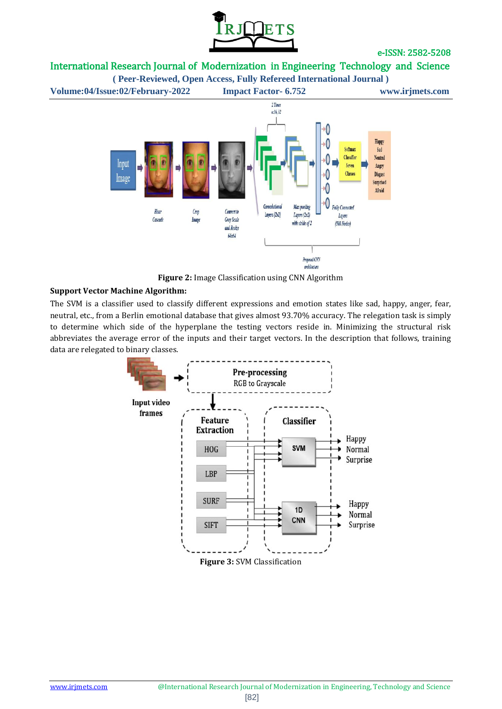

# International Research Journal of Modernization in Engineering Technology and Science



**Figure 2:** Image Classification using CNN Algorithm

#### **Support Vector Machine Algorithm:**

The SVM is a classifier used to classify different expressions and emotion states like sad, happy, anger, fear, neutral, etc., from a Berlin emotional database that gives almost 93.70% accuracy. The relegation task is simply to determine which side of the hyperplane the testing vectors reside in. Minimizing the structural risk abbreviates the average error of the inputs and their target vectors. In the description that follows, training data are relegated to binary classes.

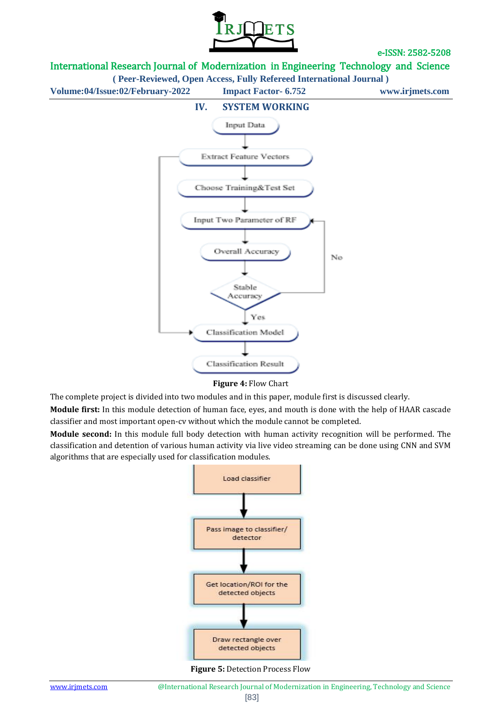

## International Research Journal of Modernization in Engineering Technology and Science

**( Peer-Reviewed, Open Access, Fully Refereed International Journal )**

**Volume:04/Issue:02/February-2022 Impact Factor- 6.752 www.irjmets.com**



**Figure 4:** Flow Chart

The complete project is divided into two modules and in this paper, module first is discussed clearly.

**Module first:** In this module detection of human face, eyes, and mouth is done with the help of HAAR cascade classifier and most important open-cv without which the module cannot be completed.

**Module second:** In this module full body detection with human activity recognition will be performed. The classification and detention of various human activity via live video streaming can be done using CNN and SVM algorithms that are especially used for classification modules.



**Figure 5:** Detection Process Flow